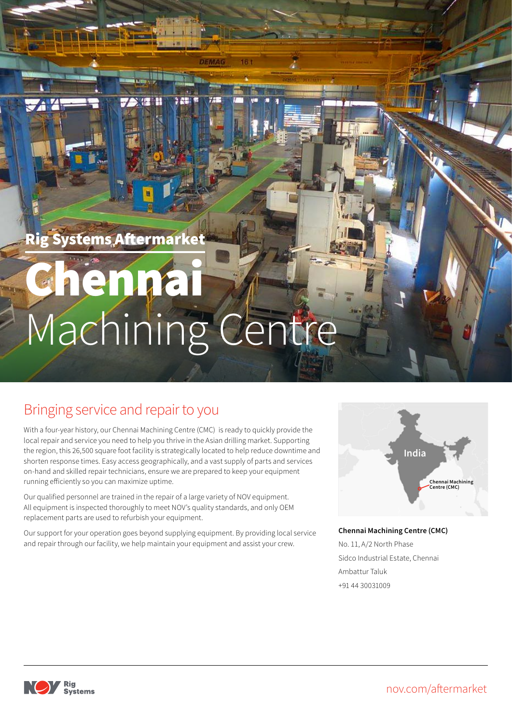Rig Systems Aftermarket

# Machining Centre henna

DEMAG

N

# Bringing service and repair to you

With a four-year history, our Chennai Machining Centre (CMC) is ready to quickly provide the local repair and service you need to help you thrive in the Asian drilling market. Supporting the region, this 26,500 square foot facility is strategically located to help reduce downtime and shorten response times. Easy access geographically, and a vast supply of parts and services on-hand and skilled repair technicians, ensure we are prepared to keep your equipment running efficiently so you can maximize uptime.

Our qualified personnel are trained in the repair of a large variety of NOV equipment. All equipment is inspected thoroughly to meet NOV's quality standards, and only OEM replacement parts are used to refurbish your equipment.

Our support for your operation goes beyond supplying equipment. By providing local service and repair through our facility, we help maintain your equipment and assist your crew.



#### **Chennai Machining Centre (CMC)**

No. 11, A/2 North Phase Sidco Industrial Estate, Chennai Ambattur Taluk +91 44 30031009